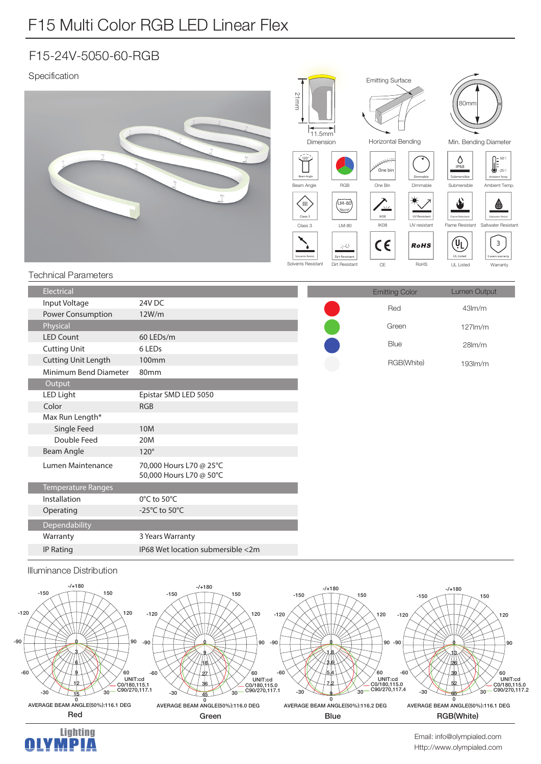## F15-24V-5050-60-RGB

| Specification<br><b>Technical Parameters</b> | $n_{f}$                                            | 21mm<br>11.5mm<br>Dimension<br>$\overbrace{120^\circ}$<br>Beam Angle<br>RGB<br>Beam Angle<br>$(LM-80)$<br>(III)<br>$\begin{picture}(20,20) \put(0,0){\line(1,0){10}} \put(15,0){\line(1,0){10}} \put(15,0){\line(1,0){10}} \put(15,0){\line(1,0){10}} \put(15,0){\line(1,0){10}} \put(15,0){\line(1,0){10}} \put(15,0){\line(1,0){10}} \put(15,0){\line(1,0){10}} \put(15,0){\line(1,0){10}} \put(15,0){\line(1,0){10}} \put(15,0){\line(1,0){10}} \put(15,0){\line(1$<br>Class 3<br>Class 3<br>LM-80<br>19 U<br>Solvents Resist<br>Dirt Resistant<br>Solvents Resistant<br>Dirt Resistant | <b>Emitting Surface</b><br>Horizontal Bending<br>One bin<br>Dimmable<br>One Bin<br>Dimmable<br>۴<br>$\overline{\phantom{a}}$<br>IK08<br>UV Resistant<br>IK08<br>UV resistant<br>$\epsilon$<br><b>RoHS</b><br>$\mathbb{C}\mathsf{E}$<br>RoHS | 80mm<br>Min. Bending Diameter<br>$\begin{bmatrix} 50^{\circ} \\ 30^{\circ} \\ -25^{\circ} \end{bmatrix}$<br>O<br>IP68<br>Submersible<br>Ambient Temp<br>Submersible<br>Ambient Temp<br>نک<br>Flame Resistant<br>Saltwater Resi<br>Flame Resistant<br>Saltwater Resistant<br>(Ų <sub>L</sub><br>$\overline{\mathbf{3}}$<br><b>UL Listed</b><br>years warrant<br>UL Listed<br>Warranty |
|----------------------------------------------|----------------------------------------------------|--------------------------------------------------------------------------------------------------------------------------------------------------------------------------------------------------------------------------------------------------------------------------------------------------------------------------------------------------------------------------------------------------------------------------------------------------------------------------------------------------------------------------------------------------------------------------------------------|---------------------------------------------------------------------------------------------------------------------------------------------------------------------------------------------------------------------------------------------|--------------------------------------------------------------------------------------------------------------------------------------------------------------------------------------------------------------------------------------------------------------------------------------------------------------------------------------------------------------------------------------|
|                                              |                                                    |                                                                                                                                                                                                                                                                                                                                                                                                                                                                                                                                                                                            |                                                                                                                                                                                                                                             |                                                                                                                                                                                                                                                                                                                                                                                      |
| Electrical<br>Input Voltage                  | 24V DC                                             |                                                                                                                                                                                                                                                                                                                                                                                                                                                                                                                                                                                            | <b>Emitting Color</b>                                                                                                                                                                                                                       | Lumen Output                                                                                                                                                                                                                                                                                                                                                                         |
| <b>Power Consumption</b>                     | 12W/m                                              |                                                                                                                                                                                                                                                                                                                                                                                                                                                                                                                                                                                            | Red                                                                                                                                                                                                                                         | 43lm/m                                                                                                                                                                                                                                                                                                                                                                               |
| Physical                                     |                                                    |                                                                                                                                                                                                                                                                                                                                                                                                                                                                                                                                                                                            | Green                                                                                                                                                                                                                                       | $127$ lm/m                                                                                                                                                                                                                                                                                                                                                                           |
| <b>LED Count</b>                             | 60 LEDs/m                                          |                                                                                                                                                                                                                                                                                                                                                                                                                                                                                                                                                                                            |                                                                                                                                                                                                                                             |                                                                                                                                                                                                                                                                                                                                                                                      |
| <b>Cutting Unit</b>                          | 6 LEDs                                             |                                                                                                                                                                                                                                                                                                                                                                                                                                                                                                                                                                                            | Blue                                                                                                                                                                                                                                        | 28 <sub>lm</sub> /m                                                                                                                                                                                                                                                                                                                                                                  |
| <b>Cutting Unit Length</b>                   | 100mm                                              |                                                                                                                                                                                                                                                                                                                                                                                                                                                                                                                                                                                            | RGB(White)                                                                                                                                                                                                                                  | 193lm/m                                                                                                                                                                                                                                                                                                                                                                              |
| Minimum Bend Diameter                        | 80mm                                               |                                                                                                                                                                                                                                                                                                                                                                                                                                                                                                                                                                                            |                                                                                                                                                                                                                                             |                                                                                                                                                                                                                                                                                                                                                                                      |
| Output                                       |                                                    |                                                                                                                                                                                                                                                                                                                                                                                                                                                                                                                                                                                            |                                                                                                                                                                                                                                             |                                                                                                                                                                                                                                                                                                                                                                                      |
| <b>LED Light</b>                             | Epistar SMD LED 5050                               |                                                                                                                                                                                                                                                                                                                                                                                                                                                                                                                                                                                            |                                                                                                                                                                                                                                             |                                                                                                                                                                                                                                                                                                                                                                                      |
| Color                                        | <b>RGB</b>                                         |                                                                                                                                                                                                                                                                                                                                                                                                                                                                                                                                                                                            |                                                                                                                                                                                                                                             |                                                                                                                                                                                                                                                                                                                                                                                      |
| Max Run Length*                              |                                                    |                                                                                                                                                                                                                                                                                                                                                                                                                                                                                                                                                                                            |                                                                                                                                                                                                                                             |                                                                                                                                                                                                                                                                                                                                                                                      |
| Single Feed                                  | 10M                                                |                                                                                                                                                                                                                                                                                                                                                                                                                                                                                                                                                                                            |                                                                                                                                                                                                                                             |                                                                                                                                                                                                                                                                                                                                                                                      |
| Double Feed                                  | 20M                                                |                                                                                                                                                                                                                                                                                                                                                                                                                                                                                                                                                                                            |                                                                                                                                                                                                                                             |                                                                                                                                                                                                                                                                                                                                                                                      |
| Beam Angle                                   | $120^\circ$                                        |                                                                                                                                                                                                                                                                                                                                                                                                                                                                                                                                                                                            |                                                                                                                                                                                                                                             |                                                                                                                                                                                                                                                                                                                                                                                      |
| Lumen Maintenance                            | 70,000 Hours L70 @ 25°C<br>50,000 Hours L70 @ 50°C |                                                                                                                                                                                                                                                                                                                                                                                                                                                                                                                                                                                            |                                                                                                                                                                                                                                             |                                                                                                                                                                                                                                                                                                                                                                                      |
| <b>Temperature Ranges</b>                    |                                                    |                                                                                                                                                                                                                                                                                                                                                                                                                                                                                                                                                                                            |                                                                                                                                                                                                                                             |                                                                                                                                                                                                                                                                                                                                                                                      |
| Installation                                 | 0°C to 50°C                                        |                                                                                                                                                                                                                                                                                                                                                                                                                                                                                                                                                                                            |                                                                                                                                                                                                                                             |                                                                                                                                                                                                                                                                                                                                                                                      |
| Operating                                    | -25 $^{\circ}$ C to 50 $^{\circ}$ C                |                                                                                                                                                                                                                                                                                                                                                                                                                                                                                                                                                                                            |                                                                                                                                                                                                                                             |                                                                                                                                                                                                                                                                                                                                                                                      |
| Dependability                                |                                                    |                                                                                                                                                                                                                                                                                                                                                                                                                                                                                                                                                                                            |                                                                                                                                                                                                                                             |                                                                                                                                                                                                                                                                                                                                                                                      |
| Warranty                                     | 3 Years Warranty                                   |                                                                                                                                                                                                                                                                                                                                                                                                                                                                                                                                                                                            |                                                                                                                                                                                                                                             |                                                                                                                                                                                                                                                                                                                                                                                      |
| IP Rating                                    | IP68 Wet location submersible <2m                  |                                                                                                                                                                                                                                                                                                                                                                                                                                                                                                                                                                                            |                                                                                                                                                                                                                                             |                                                                                                                                                                                                                                                                                                                                                                                      |
|                                              |                                                    |                                                                                                                                                                                                                                                                                                                                                                                                                                                                                                                                                                                            |                                                                                                                                                                                                                                             |                                                                                                                                                                                                                                                                                                                                                                                      |







Http://www.olympialed.com Email: info@olympialed.com